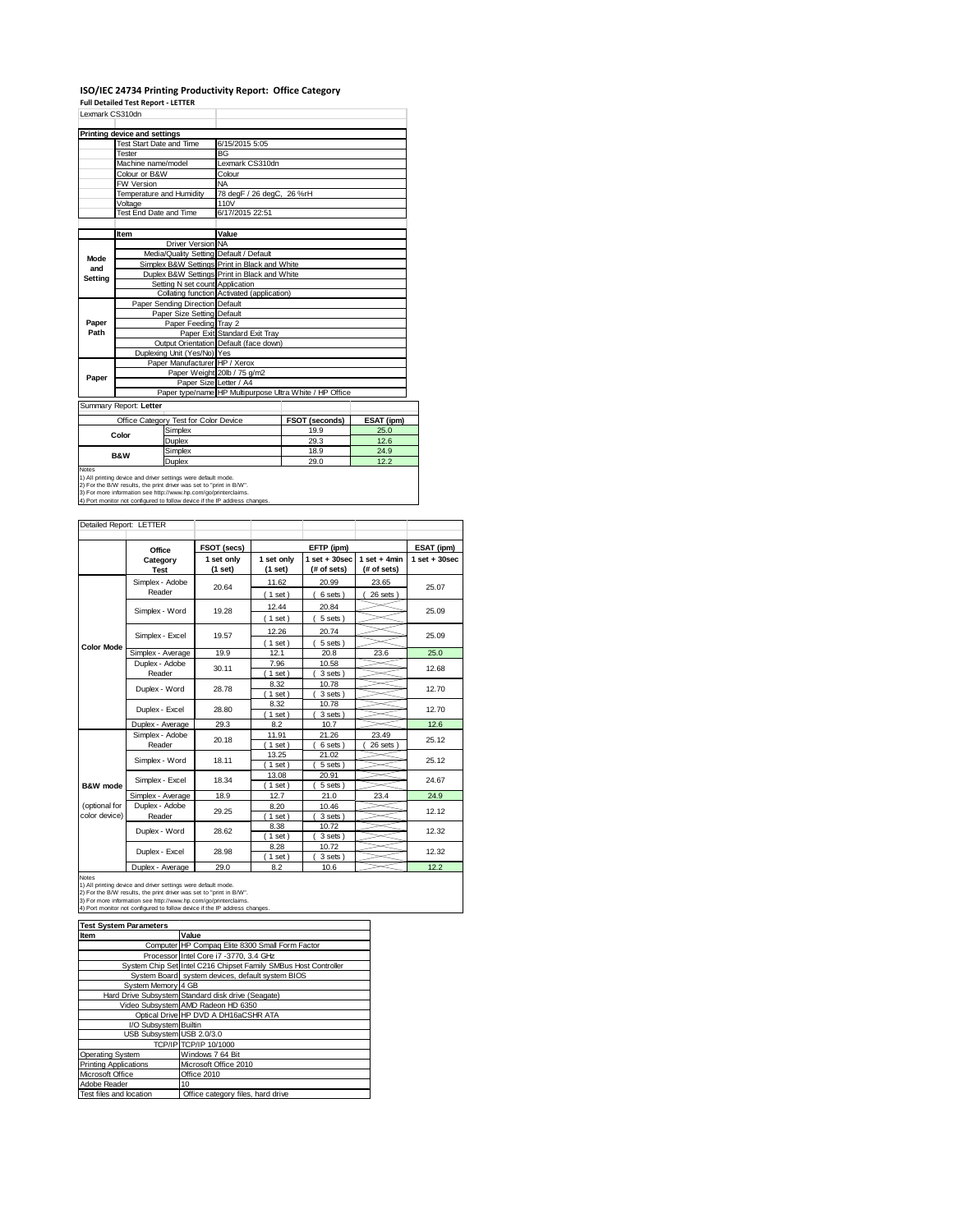# **ISO/IEC 24734 Printing Productivity Report: Office Category Full Detailed Test Report ‐ LETTER** Lexmark CS310dn

| <b>Printing device and settings</b><br>Test Start Date and Time<br>6/15/2015 5:05<br>BG<br>Tester<br>Machine name/model<br>Lexmark CS310dn<br>Colour or B&W<br>Colour<br><b>NA</b><br>FW Version<br>Temperature and Humidity<br>78 degF / 26 degC, 26 %rH<br>Voltage<br>110V<br>Test End Date and Time<br>6/17/2015 22:51<br>Value<br>Item<br>Driver Version NA<br>Media/Quality Setting Default / Default<br>Mode<br>Simplex B&W Settings Print in Black and White<br>and<br>Duplex B&W Settings Print in Black and White<br>Setting<br>Setting N set count Application<br>Collating function Activated (application)<br>Paper Sending Direction Default<br>Paper Size Setting Default<br>Paper<br>Paper Feeding Tray 2<br>Paper Exit Standard Exit Tray<br>Path<br>Output Orientation Default (face down)<br>Duplexing Unit (Yes/No) Yes<br>Paper Manufacturer HP / Xerox<br>Paper Weight 20lb / 75 g/m2<br>Paper<br>Paper Size Letter / A4<br>Paper type/name HP Multipurpose Ultra White / HP Office<br>Summary Report: Letter | Lexmark CS310dh |  |  |  |  |  |  |
|------------------------------------------------------------------------------------------------------------------------------------------------------------------------------------------------------------------------------------------------------------------------------------------------------------------------------------------------------------------------------------------------------------------------------------------------------------------------------------------------------------------------------------------------------------------------------------------------------------------------------------------------------------------------------------------------------------------------------------------------------------------------------------------------------------------------------------------------------------------------------------------------------------------------------------------------------------------------------------------------------------------------------------|-----------------|--|--|--|--|--|--|
|                                                                                                                                                                                                                                                                                                                                                                                                                                                                                                                                                                                                                                                                                                                                                                                                                                                                                                                                                                                                                                    |                 |  |  |  |  |  |  |
|                                                                                                                                                                                                                                                                                                                                                                                                                                                                                                                                                                                                                                                                                                                                                                                                                                                                                                                                                                                                                                    |                 |  |  |  |  |  |  |
|                                                                                                                                                                                                                                                                                                                                                                                                                                                                                                                                                                                                                                                                                                                                                                                                                                                                                                                                                                                                                                    |                 |  |  |  |  |  |  |
|                                                                                                                                                                                                                                                                                                                                                                                                                                                                                                                                                                                                                                                                                                                                                                                                                                                                                                                                                                                                                                    |                 |  |  |  |  |  |  |
|                                                                                                                                                                                                                                                                                                                                                                                                                                                                                                                                                                                                                                                                                                                                                                                                                                                                                                                                                                                                                                    |                 |  |  |  |  |  |  |
|                                                                                                                                                                                                                                                                                                                                                                                                                                                                                                                                                                                                                                                                                                                                                                                                                                                                                                                                                                                                                                    |                 |  |  |  |  |  |  |
|                                                                                                                                                                                                                                                                                                                                                                                                                                                                                                                                                                                                                                                                                                                                                                                                                                                                                                                                                                                                                                    |                 |  |  |  |  |  |  |
|                                                                                                                                                                                                                                                                                                                                                                                                                                                                                                                                                                                                                                                                                                                                                                                                                                                                                                                                                                                                                                    |                 |  |  |  |  |  |  |
|                                                                                                                                                                                                                                                                                                                                                                                                                                                                                                                                                                                                                                                                                                                                                                                                                                                                                                                                                                                                                                    |                 |  |  |  |  |  |  |
|                                                                                                                                                                                                                                                                                                                                                                                                                                                                                                                                                                                                                                                                                                                                                                                                                                                                                                                                                                                                                                    |                 |  |  |  |  |  |  |
|                                                                                                                                                                                                                                                                                                                                                                                                                                                                                                                                                                                                                                                                                                                                                                                                                                                                                                                                                                                                                                    |                 |  |  |  |  |  |  |
|                                                                                                                                                                                                                                                                                                                                                                                                                                                                                                                                                                                                                                                                                                                                                                                                                                                                                                                                                                                                                                    |                 |  |  |  |  |  |  |
|                                                                                                                                                                                                                                                                                                                                                                                                                                                                                                                                                                                                                                                                                                                                                                                                                                                                                                                                                                                                                                    |                 |  |  |  |  |  |  |
|                                                                                                                                                                                                                                                                                                                                                                                                                                                                                                                                                                                                                                                                                                                                                                                                                                                                                                                                                                                                                                    |                 |  |  |  |  |  |  |
|                                                                                                                                                                                                                                                                                                                                                                                                                                                                                                                                                                                                                                                                                                                                                                                                                                                                                                                                                                                                                                    |                 |  |  |  |  |  |  |
|                                                                                                                                                                                                                                                                                                                                                                                                                                                                                                                                                                                                                                                                                                                                                                                                                                                                                                                                                                                                                                    |                 |  |  |  |  |  |  |
|                                                                                                                                                                                                                                                                                                                                                                                                                                                                                                                                                                                                                                                                                                                                                                                                                                                                                                                                                                                                                                    |                 |  |  |  |  |  |  |
|                                                                                                                                                                                                                                                                                                                                                                                                                                                                                                                                                                                                                                                                                                                                                                                                                                                                                                                                                                                                                                    |                 |  |  |  |  |  |  |
|                                                                                                                                                                                                                                                                                                                                                                                                                                                                                                                                                                                                                                                                                                                                                                                                                                                                                                                                                                                                                                    |                 |  |  |  |  |  |  |
|                                                                                                                                                                                                                                                                                                                                                                                                                                                                                                                                                                                                                                                                                                                                                                                                                                                                                                                                                                                                                                    |                 |  |  |  |  |  |  |
|                                                                                                                                                                                                                                                                                                                                                                                                                                                                                                                                                                                                                                                                                                                                                                                                                                                                                                                                                                                                                                    |                 |  |  |  |  |  |  |
|                                                                                                                                                                                                                                                                                                                                                                                                                                                                                                                                                                                                                                                                                                                                                                                                                                                                                                                                                                                                                                    |                 |  |  |  |  |  |  |
|                                                                                                                                                                                                                                                                                                                                                                                                                                                                                                                                                                                                                                                                                                                                                                                                                                                                                                                                                                                                                                    |                 |  |  |  |  |  |  |
|                                                                                                                                                                                                                                                                                                                                                                                                                                                                                                                                                                                                                                                                                                                                                                                                                                                                                                                                                                                                                                    |                 |  |  |  |  |  |  |
|                                                                                                                                                                                                                                                                                                                                                                                                                                                                                                                                                                                                                                                                                                                                                                                                                                                                                                                                                                                                                                    |                 |  |  |  |  |  |  |
|                                                                                                                                                                                                                                                                                                                                                                                                                                                                                                                                                                                                                                                                                                                                                                                                                                                                                                                                                                                                                                    |                 |  |  |  |  |  |  |
|                                                                                                                                                                                                                                                                                                                                                                                                                                                                                                                                                                                                                                                                                                                                                                                                                                                                                                                                                                                                                                    |                 |  |  |  |  |  |  |
|                                                                                                                                                                                                                                                                                                                                                                                                                                                                                                                                                                                                                                                                                                                                                                                                                                                                                                                                                                                                                                    |                 |  |  |  |  |  |  |
| ESAT (ipm)<br>Office Category Test for Color Device<br><b>FSOT (seconds)</b>                                                                                                                                                                                                                                                                                                                                                                                                                                                                                                                                                                                                                                                                                                                                                                                                                                                                                                                                                       |                 |  |  |  |  |  |  |

| Color                                                                  | Simplex | 19.9 | 25.0 |  |  |
|------------------------------------------------------------------------|---------|------|------|--|--|
|                                                                        | Duplex  | 29.3 | 12.6 |  |  |
| <b>B&amp;W</b>                                                         | Simplex | 18.9 | 24.9 |  |  |
|                                                                        | Duplex  | 29.0 | 12.2 |  |  |
| Notes<br>1) All printing device and driver settings were default mode. |         |      |      |  |  |
|                                                                        |         |      |      |  |  |

1) All printing device and driver settings were default mode.<br>2) For the B/W results, the print driver was set to "print in B/W".<br>3) For more information see http://www.hp.com/go/printerclaims.<br>4) Port monitor not configur

|                                                                                                                                                                                                                                                                                                       |                                   | FSOT (secs)           |                       | EFTP (ipm)                       |                               | ESAT (ipm)        |
|-------------------------------------------------------------------------------------------------------------------------------------------------------------------------------------------------------------------------------------------------------------------------------------------------------|-----------------------------------|-----------------------|-----------------------|----------------------------------|-------------------------------|-------------------|
|                                                                                                                                                                                                                                                                                                       | Office<br>Category<br><b>Test</b> | 1 set only<br>(1 set) | 1 set only<br>(1 set) | $1$ set $+30$ sec<br>(# of sets) | $1$ set + 4min<br>(# of sets) | $1$ set $+30$ sec |
|                                                                                                                                                                                                                                                                                                       | Simplex - Adobe<br>Reader         | 20.64                 | 11.62                 | 20.99                            | 23.65                         | 25.07             |
|                                                                                                                                                                                                                                                                                                       | Simplex - Word                    | 19.28                 | (1 set)<br>12.44      | 6 sets)<br>20.84                 | 26 sets )                     | 25.09             |
|                                                                                                                                                                                                                                                                                                       |                                   |                       | (1 set)               | 5 sets)                          |                               |                   |
|                                                                                                                                                                                                                                                                                                       | Simplex - Excel                   | 19.57                 | 12.26<br>$(1$ set)    | 20.74<br>5 sets)                 |                               | 25.09             |
| <b>Color Mode</b>                                                                                                                                                                                                                                                                                     | Simplex - Average                 | 19.9                  | 12.1                  | 20.8                             | 23.6                          | 25.0              |
|                                                                                                                                                                                                                                                                                                       | Duplex - Adobe<br>Reader          | 30.11                 | 7.96<br>1 set         | 10.58<br>3 sets)                 |                               | 12.68             |
|                                                                                                                                                                                                                                                                                                       | Duplex - Word                     | 28.78                 | 8.32<br>$1$ set)      | 10.78<br>3 sets)                 |                               | 12.70             |
|                                                                                                                                                                                                                                                                                                       | Duplex - Excel                    | 28.80                 | 8.32<br>$1$ set)      | 10.78<br>3 sets)                 |                               | 12.70             |
|                                                                                                                                                                                                                                                                                                       | Duplex - Average                  | 29.3                  | 8.2                   | 10.7                             |                               | 12.6              |
|                                                                                                                                                                                                                                                                                                       | Simplex - Adobe<br>Reader         | 20.18                 | 11.91<br>$1$ set)     | 21.26<br>6 sets)                 | 23.49<br>26 sets              | 25.12             |
|                                                                                                                                                                                                                                                                                                       | Simplex - Word                    | 18.11                 | 13.25<br>1 set        | 21.02<br>5 sets)                 |                               | 25.12             |
| <b>B&amp;W</b> mode                                                                                                                                                                                                                                                                                   | Simplex - Excel                   | 18.34                 | 13.08<br>$1$ set)     | 20.91<br>5 sets                  |                               | 24.67             |
|                                                                                                                                                                                                                                                                                                       | Simplex - Average                 | 18.9                  | 12.7                  | 21.0                             | 23.4                          | 24.9              |
| (optional for<br>color device)                                                                                                                                                                                                                                                                        | Duplex - Adobe<br>Reader          | 29.25                 | 8.20<br>$1$ set)      | 10.46<br>3 sets)                 |                               | 12.12             |
|                                                                                                                                                                                                                                                                                                       | Duplex - Word                     | 28.62                 | 8.38<br>$1$ set)      | 10.72<br>3 sets)                 |                               | 12.32             |
|                                                                                                                                                                                                                                                                                                       | Duplex - Excel                    | 28.98                 | 8.28<br>1 set         | 10.72<br>3 sets)                 |                               | 12.32             |
|                                                                                                                                                                                                                                                                                                       | Duplex - Average                  | 29.0                  | 8.2                   | 10.6                             |                               | 12.2              |
| <b>Notes</b><br>1) All printing device and driver settings were default mode.<br>2) For the B/W results, the print driver was set to "print in B/W".<br>3) For more information see http://www.hp.com/go/printerclaims.<br>4) Port monitor not configured to follow device if the IP address changes. |                                   |                       |                       |                                  |                               |                   |

| <b>Test System Parameters</b> |                                                                 |
|-------------------------------|-----------------------------------------------------------------|
| Item                          | Value                                                           |
|                               | Computer HP Compaq Elite 8300 Small Form Factor                 |
|                               | Processor Intel Core i7 -3770, 3.4 GHz                          |
|                               | System Chip Set Intel C216 Chipset Family SMBus Host Controller |
|                               | System Board system devices, default system BIOS                |
| System Memory 4 GB            |                                                                 |
|                               | Hard Drive Subsystem Standard disk drive (Seagate)              |
|                               | Video Subsystem AMD Radeon HD 6350                              |
|                               | Optical Drive HP DVD A DH16aCSHR ATA                            |
| I/O Subsystem Builtin         |                                                                 |
| USB Subsystem USB 2.0/3.0     |                                                                 |
|                               | TCP/IP TCP/IP 10/1000                                           |
| Operating System              | Windows 7 64 Bit                                                |
| <b>Printing Applications</b>  | Microsoft Office 2010                                           |
| Microsoft Office              | Office 2010                                                     |
| Adobe Reader                  | 10                                                              |
| Test files and location       | Office category files, hard drive                               |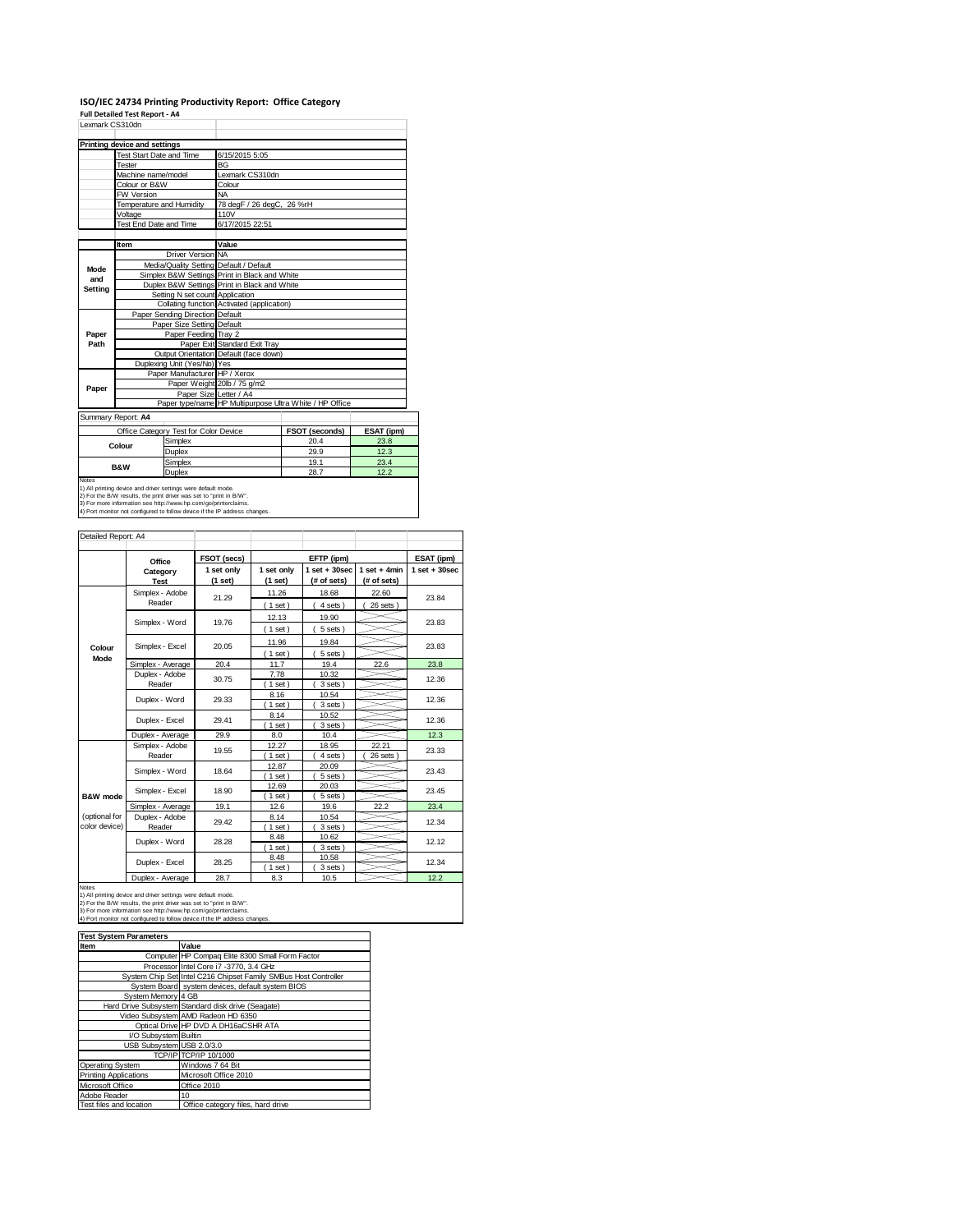### **ISO/IEC 24734 Printing Productivity Report: Office Category Full Detailed Test Report ‐ A4**

| Lexmark CS310dn                       |                              |                                         |                                                                                   |            |      |  |
|---------------------------------------|------------------------------|-----------------------------------------|-----------------------------------------------------------------------------------|------------|------|--|
|                                       | Printing device and settings |                                         |                                                                                   |            |      |  |
|                                       |                              | Test Start Date and Time                | 6/15/2015 5:05                                                                    |            |      |  |
|                                       | Tester                       |                                         | <b>BG</b>                                                                         |            |      |  |
|                                       | Machine name/model           |                                         | Lexmark CS310dn                                                                   |            |      |  |
|                                       | Colour or B&W                |                                         | Colour                                                                            |            |      |  |
|                                       | FW Version                   |                                         | <b>NA</b>                                                                         |            |      |  |
|                                       |                              | Temperature and Humidity                | 78 degF / 26 degC, 26 %rH                                                         |            |      |  |
|                                       | Voltage                      |                                         | 110V                                                                              |            |      |  |
|                                       |                              | Test End Date and Time                  | 6/17/2015 22:51                                                                   |            |      |  |
|                                       | Item                         |                                         | Value                                                                             |            |      |  |
|                                       |                              | Driver Version NA                       |                                                                                   |            |      |  |
|                                       |                              | Media/Quality Setting Default / Default |                                                                                   |            |      |  |
| Mode<br>and                           |                              |                                         | Simplex B&W Settings Print in Black and White                                     |            |      |  |
| <b>Setting</b>                        |                              |                                         | Duplex B&W Settings Print in Black and White                                      |            |      |  |
|                                       |                              | Setting N set count Application         |                                                                                   |            |      |  |
|                                       |                              |                                         | Collating function Activated (application)                                        |            |      |  |
|                                       |                              | Paper Sending Direction Default         |                                                                                   |            |      |  |
|                                       |                              | Paper Size Setting Default              |                                                                                   |            |      |  |
| Paper                                 |                              | Paper Feeding Tray 2                    |                                                                                   |            |      |  |
| Path                                  |                              |                                         | Paper Exit Standard Exit Trav                                                     |            |      |  |
|                                       |                              |                                         | Output Orientation Default (face down)                                            |            |      |  |
|                                       |                              | Duplexing Unit (Yes/No) Yes             |                                                                                   |            |      |  |
|                                       |                              | Paper Manufacturer HP / Xerox           |                                                                                   |            |      |  |
| Paper                                 |                              |                                         | Paper Weight 20lb / 75 g/m2                                                       |            |      |  |
|                                       |                              |                                         | Paper Size Letter / A4<br>Paper type/name HP Multipurpose Ultra White / HP Office |            |      |  |
|                                       |                              |                                         |                                                                                   |            |      |  |
|                                       | Summary Report: A4           |                                         |                                                                                   |            |      |  |
| Office Category Test for Color Device |                              |                                         | FSOT (seconds)                                                                    | ESAT (ipm) |      |  |
|                                       | Colour                       | Simplex                                 |                                                                                   | 20.4       | 23.8 |  |
|                                       |                              | Duplex                                  |                                                                                   | 29.9       | 12.3 |  |
|                                       | <b>B&amp;W</b>               | Simplex                                 |                                                                                   | 19.1       | 23.4 |  |
|                                       |                              |                                         |                                                                                   | $- -$      |      |  |

Duplex 28.7 22.7 22.2<br>
29.7 22.2 20.7 22.2 20.7 22.2 20.7 22.2 20.7 22.2 20.7 22.2 20.7 22.2 2<br>
2) For the BAW results, the print driver was set to "print in BAW".<br>
3) For the BAW results, the print driver was set to "prin

| Detailed Report: A4            |                           |                       |                       |                                  |                               |                   |
|--------------------------------|---------------------------|-----------------------|-----------------------|----------------------------------|-------------------------------|-------------------|
|                                | Office                    | FSOT (secs)           |                       | EFTP (ipm)                       |                               | ESAT (ipm)        |
|                                | Category<br><b>Test</b>   | 1 set only<br>(1 set) | 1 set only<br>(1 set) | $1$ set $+30$ sec<br>(# of sets) | $1$ set + 4min<br>(# of sets) | $1$ set $+30$ sec |
|                                | Simplex - Adobe<br>Reader | 21.29                 | 11.26<br>(1 set)      | 18.68<br>4 sets)                 | 22.60<br>$26$ sets $)$        | 23.84             |
|                                | Simplex - Word            | 19.76                 | 12.13<br>$1$ set)     | 19.90<br>5 sets)                 |                               | 23.83             |
| Colour                         | Simplex - Excel<br>20.05  |                       | 11.96<br>$1$ set)     | 19.84<br>5 sets)                 |                               | 23.83             |
| Mode                           | Simplex - Average         | 20.4                  | 11.7                  | 19.4                             | 22.6                          | 23.8              |
|                                | Duplex - Adobe<br>Reader  | 30.75                 | 7.78<br>$1$ set)      | 10.32<br>3 sets)                 |                               | 12.36             |
|                                | Duplex - Word             | 29.33                 | 8.16<br>$1$ set)      | 10.54<br>3 sets)                 |                               | 12.36             |
|                                | Duplex - Excel            | 29.41                 | 8.14<br>$1$ set)      | 10.52<br>3 sets)                 |                               | 12.36             |
|                                | Duplex - Average          | 29.9                  | 8.0                   | 10.4                             |                               | 12.3              |
|                                | Simplex - Adobe<br>Reader | 19.55                 | 12.27<br>$1$ set)     | 18.95<br>4 sets )                | 22.21<br>26 sets              | 23.33             |
|                                | Simplex - Word            | 18.64                 | 12.87<br>$1$ set)     | 20.09<br>5 sets)                 |                               | 23.43             |
| B&W mode                       | Simplex - Excel           | 18.90                 | 12.69<br>$1$ set)     | 20.03<br>5 sets)                 |                               | 23.45             |
|                                | Simplex - Average         | 19.1                  | 12.6                  | 19.6                             | 22.2                          | 23.4              |
| (optional for<br>color device) | Duplex - Adobe<br>Reader  | 29.42                 | 8.14<br>$1$ set)      | 10.54<br>3 sets)                 |                               | 12.34             |
|                                | Duplex - Word             | 28.28                 | 8.48<br>$1$ set)      | 10.62<br>3 sets)                 |                               | 12.12             |
|                                | Duplex - Excel            | 28.25                 | 8.48<br>$1$ set)      | 10.58<br>3 sets)                 |                               | 12.34             |
|                                | Duploy - Average          | 29.7                  | 22                    | 10E                              |                               | 122               |

Notes<br>
Notes<br>
1) Ali principal device and driver settings were detail in node.<br>
2) For the BAW results, the print driver was set to "print in BAW".<br>
3) For the BAW results, the print driver was set to "print in BAW".<br>
4) P

| <b>Test System Parameters</b> |                                                                 |
|-------------------------------|-----------------------------------------------------------------|
| Item                          | Value                                                           |
|                               | Computer HP Compag Elite 8300 Small Form Factor                 |
|                               | Processor Intel Core i7 -3770, 3.4 GHz                          |
|                               | System Chip Set Intel C216 Chipset Family SMBus Host Controller |
|                               | System Board system devices, default system BIOS                |
| System Memory 4 GB            |                                                                 |
|                               | Hard Drive Subsystem Standard disk drive (Seagate)              |
|                               | Video Subsystem AMD Radeon HD 6350                              |
|                               | Optical Drive HP DVD A DH16aCSHR ATA                            |
| I/O Subsystem Builtin         |                                                                 |
| USB Subsystem USB 2.0/3.0     |                                                                 |
|                               | TCP/IP TCP/IP 10/1000                                           |
| Operating System              | Windows 7 64 Bit                                                |
| <b>Printing Applications</b>  | Microsoft Office 2010                                           |
| Microsoft Office              | Office 2010                                                     |
| Adobe Reader                  | 10                                                              |
| Test files and location       | Office category files, hard drive                               |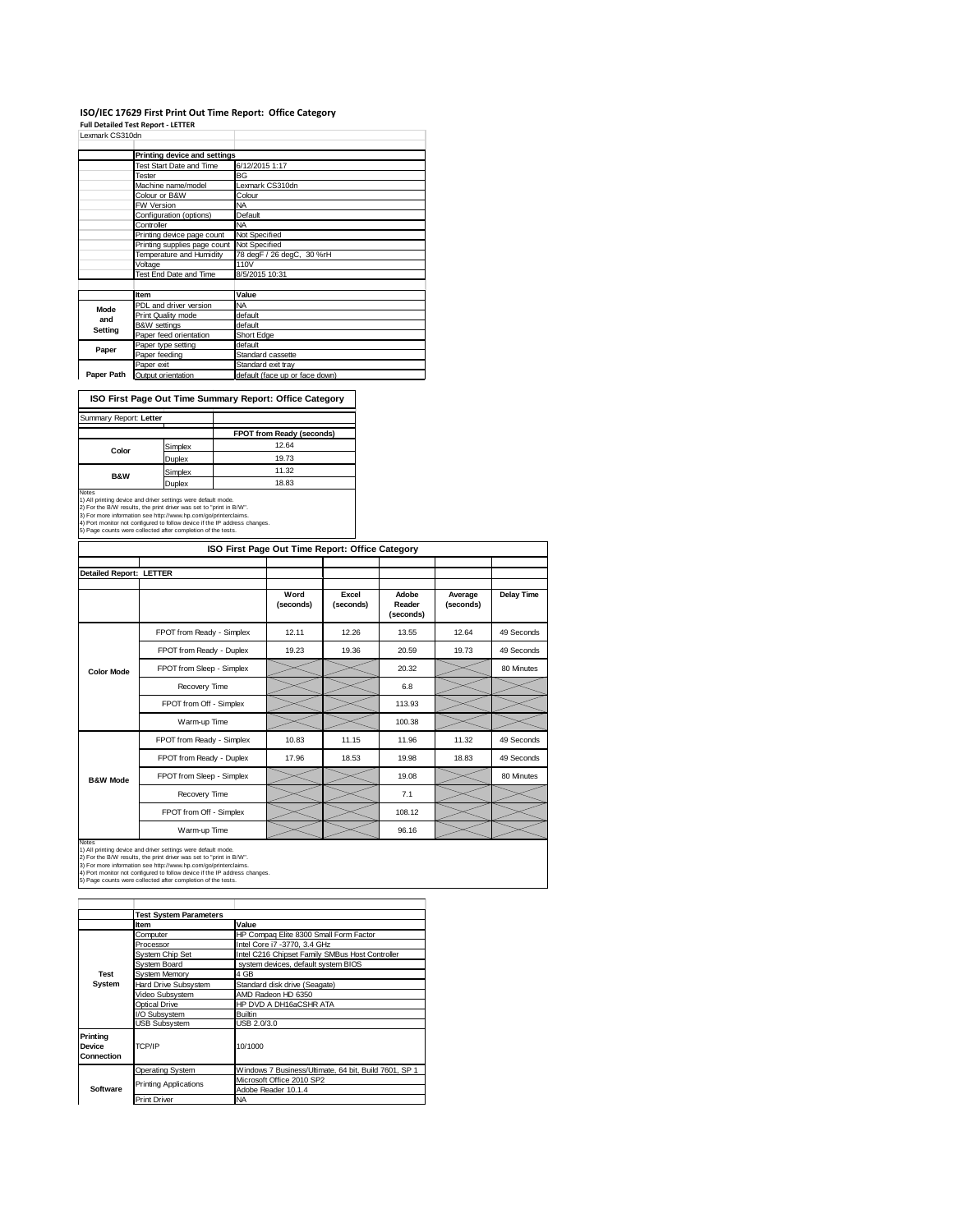# **ISO/IEC 17629 First Print Out Time Report: Office Category Full Detailed Test Report ‐ LETTER** Lexmark CS310dn

|            | Printing device and settings               |                                |
|------------|--------------------------------------------|--------------------------------|
|            | Test Start Date and Time                   | 6/12/2015 1:17                 |
|            | Tester                                     | BG                             |
|            | Machine name/model                         | Lexmark CS310dn                |
|            | Colour or B&W                              | Colour                         |
|            | <b>FW Version</b>                          | <b>NA</b>                      |
|            | Configuration (options)                    | Default                        |
|            | Controller                                 | <b>NA</b>                      |
|            | Printing device page count                 | Not Specified                  |
|            | Printing supplies page count Not Specified |                                |
|            | Temperature and Humidity                   | 78 degF / 26 degC, 30 %rH      |
|            | Voltage                                    | 110V                           |
|            | Test End Date and Time                     | 8/5/2015 10:31                 |
|            |                                            |                                |
|            | <b>Item</b>                                | Value                          |
| Mode       | PDL and driver version                     | <b>NA</b>                      |
| and        | Print Quality mode                         | default                        |
| Setting    | <b>B&amp;W</b> settings                    | default                        |
|            | Paper feed orientation                     | Short Edge                     |
| Paper      | Paper type setting                         | default                        |
|            | Paper feeding                              | Standard cassette              |
|            | Paper exit                                 | Standard exit tray             |
| Paper Path | Output orientation                         | default (face up or face down) |

**ISO First Page Out Time Summary Report: Office Category**

| Summary Report: Letter |               |                           |
|------------------------|---------------|---------------------------|
|                        |               | FPOT from Ready (seconds) |
|                        | Simplex       | 12.64                     |
| Color                  | Duplex        | 19.73                     |
| <b>B&amp;W</b>         | Simplex       | 11.32                     |
|                        | <b>Juplex</b> | 18.83                     |

Notes<br>1) All printing device and driver settings were default mode.<br>2) For the B/W results, the print driver was set to "print in B/W".<br>3) For more information see http://www.hp.com/go/printerclaims.<br>4) Port monitor not co

| ISO First Page Out Time Report: Office Category |                           |                   |                    |                              |                      |                   |
|-------------------------------------------------|---------------------------|-------------------|--------------------|------------------------------|----------------------|-------------------|
| <b>Detailed Report: LETTER</b>                  |                           |                   |                    |                              |                      |                   |
|                                                 |                           | Word<br>(seconds) | Excel<br>(seconds) | Adobe<br>Reader<br>(seconds) | Average<br>(seconds) | <b>Delay Time</b> |
|                                                 | FPOT from Ready - Simplex | 12.11             | 12.26              | 13.55                        | 12.64                | 49 Seconds        |
|                                                 | FPOT from Ready - Duplex  | 19.23             | 19.36              | 20.59                        | 19.73                | 49 Seconds        |
| <b>Color Mode</b>                               | FPOT from Sleep - Simplex |                   |                    | 20.32                        |                      | 80 Minutes        |
|                                                 | Recovery Time             |                   |                    | 6.8                          |                      |                   |
|                                                 | FPOT from Off - Simplex   |                   |                    | 113.93                       |                      |                   |
|                                                 | Warm-up Time              |                   |                    | 100.38                       |                      |                   |
|                                                 | FPOT from Ready - Simplex | 10.83             | 11.15              | 11.96                        | 11.32                | 49 Seconds        |
|                                                 | FPOT from Ready - Duplex  | 17.96             | 18.53              | 19.98                        | 18.83                | 49 Seconds        |
| <b>B&amp;W Mode</b>                             | FPOT from Sleep - Simplex |                   |                    | 19.08                        |                      | 80 Minutes        |
|                                                 | Recovery Time             |                   |                    | 7.1                          |                      |                   |
|                                                 | FPOT from Off - Simplex   |                   |                    | 108.12                       |                      |                   |
|                                                 | Warm-up Time              |                   |                    | 96.16                        |                      |                   |

Notes<br>1) All printing device and driver settings were default mode.<br>2) For the B/W results, the print driver was set to "print in B/W".<br>3) For more information see http://www.hp.com/go/printerclaims.<br>4) Port monitor not co

|                                         | <b>Test System Parameters</b> |                                                       |  |  |
|-----------------------------------------|-------------------------------|-------------------------------------------------------|--|--|
|                                         | ltem                          | Value                                                 |  |  |
|                                         | Computer                      | HP Compag Elite 8300 Small Form Factor                |  |  |
|                                         | Processor                     | Intel Core i7 -3770, 3.4 GHz                          |  |  |
|                                         | System Chip Set               | Intel C216 Chipset Family SMBus Host Controller       |  |  |
|                                         | Svstem Board                  | system devices, default system BIOS                   |  |  |
| <b>Test</b>                             | System Memory                 | 4 GB                                                  |  |  |
| System                                  | Hard Drive Subsystem          | Standard disk drive (Seagate)                         |  |  |
|                                         | Video Subsystem               | AMD Radeon HD 6350                                    |  |  |
|                                         | Optical Drive                 | HP DVD A DH16aCSHR ATA                                |  |  |
|                                         | I/O Subsystem                 | <b>Builtin</b>                                        |  |  |
|                                         | <b>USB Subsystem</b>          | USB 2.0/3.0                                           |  |  |
| Printina<br><b>Device</b><br>Connection | TCP/IP                        | 10/1000                                               |  |  |
|                                         | <b>Operating System</b>       | Windows 7 Business/Ultimate, 64 bit, Build 7601, SP 1 |  |  |
|                                         | <b>Printing Applications</b>  | Microsoft Office 2010 SP2                             |  |  |
| Software                                |                               | Adobe Reader 10.1.4                                   |  |  |
|                                         | <b>Print Driver</b>           | <b>NA</b>                                             |  |  |